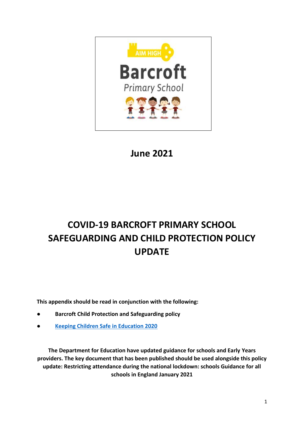

**June 2021**

# **COVID-19 BARCROFT PRIMARY SCHOOL SAFEGUARDING AND CHILD PROTECTION POLICY UPDATE**

**This appendix should be read in conjunction with the following:**

- **● Barcroft Child Protection and Safeguarding policy**
- **● [Keeping Children Safe in Education 2020](https://www.gov.uk/government/publications/keeping-children-safe-in-education--2)**

**The Department for Education have updated guidance for schools and Early Years providers. The key document that has been published should be used alongside this policy update: Restricting attendance during the national lockdown: schools Guidance for all schools in England January 2021**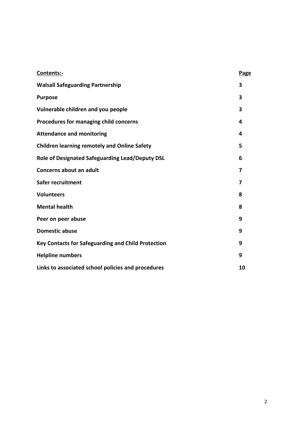| Contents:-                                          | Page |
|-----------------------------------------------------|------|
| <b>Walsall Safeguarding Partnership</b>             | 3    |
| <b>Purpose</b>                                      | 3    |
| Vulnerable children and you people                  | 3    |
| Procedures for managing child concerns              | 4    |
| <b>Attendance and monitoring</b>                    | 4    |
| <b>Children learning remotely and Online Safety</b> | 5    |
| Role of Designated Safeguarding Lead/Deputy DSL     | 6    |
| Concerns about an adult                             | 7    |
| Safer recruitment                                   | 7    |
| <b>Volunteers</b>                                   | 8    |
| <b>Mental health</b>                                | 8    |
| Peer on peer abuse                                  | 9    |
| <b>Domestic abuse</b>                               | 9    |
| Key Contacts for Safeguarding and Child Protection  | 9    |
| <b>Helpline numbers</b>                             | 9    |
| Links to associated school policies and procedures  | 10   |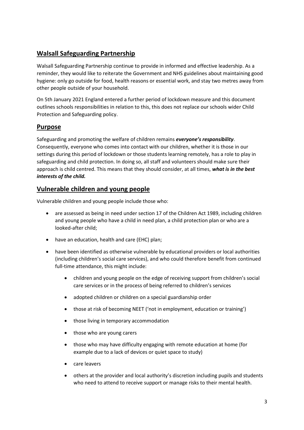# **Walsall Safeguarding Partnership**

Walsall Safeguarding Partnership continue to provide in informed and effective leadership. As a reminder, they would like to reiterate the Government and NHS guidelines about maintaining good hygiene: only go outside for food, health reasons or essential work, and stay two metres away from other people outside of your household.

On 5th January 2021 England entered a further period of lockdown measure and this document outlines schools responsibilities in relation to this, this does not replace our schools wider Child Protection and Safeguarding policy.

# **Purpose**

Safeguarding and promoting the welfare of children remains *everyone's responsibility*. Consequently, everyone who comes into contact with our children, whether it is those in our settings during this period of lockdown or those students learning remotely, has a role to play in safeguarding and child protection. In doing so, all staff and volunteers should make sure their approach is child centred. This means that they should consider, at all times, *what is in the best interests of the child.*

#### **Vulnerable children and young people**

Vulnerable children and young people include those who:

- are assessed as being in need under section 17 of the Children Act 1989, including children and young people who have a child in need plan, a child protection plan or who are a looked-after child;
- have an education, health and care (EHC) plan;
- have been identified as otherwise vulnerable by educational providers or local authorities (including children's social care services), and who could therefore benefit from continued full-time attendance, this might include:
	- children and young people on the edge of receiving support from children's social care services or in the process of being referred to children's services
	- adopted children or children on a special guardianship order
	- those at risk of becoming NEET ('not in employment, education or training')
	- those living in temporary accommodation
	- those who are young carers
	- those who may have difficulty engaging with remote education at home (for example due to a lack of devices or quiet space to study)
	- care leavers
	- others at the provider and local authority's discretion including pupils and students who need to attend to receive support or manage risks to their mental health.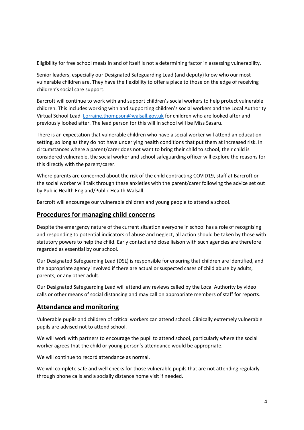Eligibility for free school meals in and of itself is not a determining factor in assessing vulnerability.

Senior leaders, especially our Designated Safeguarding Lead (and deputy) know who our most vulnerable children are. They have the flexibility to offer a place to those on the edge of receiving children's social care support.

Barcroft will continue to work with and support children's social workers to help protect vulnerable children. This includes working with and supporting children's social workers and the Local Authority Virtual School Lead [Lorraine.thompson@walsall.gov.uk](mailto:Lorraine.thompson@walsall.gov.uk) for children who are looked after and previously looked after. The lead person for this will in school will be Miss Sasaru.

There is an expectation that vulnerable children who have a social worker will attend an education setting, so long as they do not have underlying health conditions that put them at increased risk. In circumstances where a parent/carer does not want to bring their child to school, their child is considered vulnerable, the social worker and school safeguarding officer will explore the reasons for this directly with the parent/carer.

Where parents are concerned about the risk of the child contracting COVID19, staff at Barcroft or the social worker will talk through these anxieties with the parent/carer following the advice set out by Public Health England/Public Health Walsall.

Barcroft will encourage our vulnerable children and young people to attend a school.

#### **Procedures for managing child concerns**

Despite the emergency nature of the current situation everyone in school has a role of recognising and responding to potential indicators of abuse and neglect, all action should be taken by those with statutory powers to help the child. Early contact and close liaison with such agencies are therefore regarded as essential by our school.

Our Designated Safeguarding Lead (DSL) is responsible for ensuring that children are identified, and the appropriate agency involved if there are actual or suspected cases of child abuse by adults, parents, or any other adult.

Our Designated Safeguarding Lead will attend any reviews called by the Local Authority by video calls or other means of social distancing and may call on appropriate members of staff for reports.

#### **Attendance and monitoring**

Vulnerable pupils and children of critical workers can attend school. Clinically extremely vulnerable pupils are advised not to attend school.

We will work with partners to encourage the pupil to attend school, particularly where the social worker agrees that the child or young person's attendance would be appropriate.

We will continue to record attendance as normal.

We will complete safe and well checks for those vulnerable pupils that are not attending regularly through phone calls and a socially distance home visit if needed.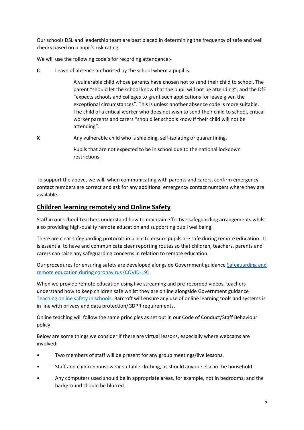Our schools DSL and leadership team are best placed in determining the frequency of safe and well checks based on a pupil's risk rating.

We will use the following code's for recording attendance:-

**C** Leave of absence authorised by the school where a pupil is:

A vulnerable child whose parents have chosen not to send their child to school. The parent "should let the school know that the pupil will not be attending", and the DfE "expects schools and colleges to grant such applications for leave given the exceptional circumstances". This is unless another absence code is more suitable. The child of a critical worker who does not wish to send their child to school, critical worker parents and carers "should let schools know if their child will not be attending".

**X** Any vulnerable child who is shielding, self-isolating or quarantining.

Pupils that are not expected to be in school due to the national lockdown restrictions.

To support the above, we will, when communicating with parents and carers, confirm emergency contact numbers are correct and ask for any additional emergency contact numbers where they are available.

# **Children learning remotely and Online Safety**

Staff in our school Teachers understand how to maintain effective safeguarding arrangements whilst also providing high-quality remote education and supporting pupil wellbeing.

There are clear safeguarding protocols in place to ensure pupils are safe during remote education. It is essential to have and communicate clear reporting routes so that children, teachers, parents and carers can raise any safeguarding concerns in relation to remote education.

Our procedures for ensuring safety are developed alongside Government guidance [Safeguarding and](https://www.gov.uk/guidance/safeguarding-and-remote-education-during-coronavirus-covid-19)  [remote education during coronavirus \(COVID-19\)](https://www.gov.uk/guidance/safeguarding-and-remote-education-during-coronavirus-covid-19)

When we provide remote education using live streaming and pre-recorded videos, teachers understand how to keep children safe whilst they are online alongside Government guidance [Teaching online safety in schools.](https://www.gov.uk/government/publications/teaching-online-safety-in-schools) Barcroft will ensure any use of online learning tools and systems is in line with privacy and data protection/GDPR requirements.

Online teaching will follow the same principles as set out in our Code of Conduct/Staff Behaviour policy.

Below are some things we consider if there are virtual lessons, especially where webcams are involved:

- Two members of staff will be present for any group meetings/live lessons.
- Staff and children must wear suitable clothing, as should anyone else in the household.
- Any computers used should be in appropriate areas, for example, not in bedrooms; and the background should be blurred.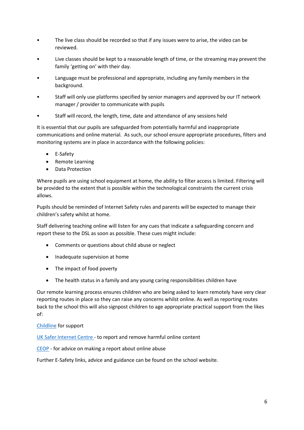- The live class should be recorded so that if any issues were to arise, the video can be reviewed.
- Live classes should be kept to a reasonable length of time, or the streaming may prevent the family 'getting on' with their day.
- Language must be professional and appropriate, including any family members in the background.
- Staff will only use platforms specified by senior managers and approved by our IT network manager / provider to communicate with pupils
- Staff will record, the length, time, date and attendance of any sessions held

It is essential that our pupils are safeguarded from potentially harmful and inappropriate communications and online material. As such, our school ensure appropriate procedures, filters and monitoring systems are in place in accordance with the following policies:

- E-Safety
- Remote Learning
- Data Protection

Where pupils are using school equipment at home, the ability to filter access is limited. Filtering will be provided to the extent that is possible within the technological constraints the current crisis allows.

Pupils should be reminded of Internet Safety rules and parents will be expected to manage their children's safety whilst at home.

Staff delivering teaching online will listen for any cues that indicate a safeguarding concern and report these to the DSL as soon as possible. These cues might include:

- Comments or questions about child abuse or neglect
- Inadequate supervision at home
- The impact of food poverty
- The health status in a family and any young caring responsibilities children have

Our remote learning process ensures children who are being asked to learn remotely have very clear reporting routes in place so they can raise any concerns whilst online. As well as reporting routes back to the school this will also signpost children to age appropriate practical support from the likes of:

#### [Childline](https://www.childline.org.uk/?utm_source=google&utm_medium=cpc&utm_campaign=UK_GO_S_B_BND_Grant_Childline_Information&utm_term=role_of_childline&gclsrc=aw.ds&&gclid=EAIaIQobChMIlfLRh-ez6AIVRrDtCh1N9QR2EAAYASAAEgLc-vD_BwE&gclsrc=aw.ds) for support

[UK Safer Internet Centre -](https://reportharmfulcontent.com/) to report and remove harmful online content

[CEOP](https://www.ceop.police.uk/safety-centre/) - for advice on making a report about online abuse

Further E-Safety links, advice and guidance can be found on the school website.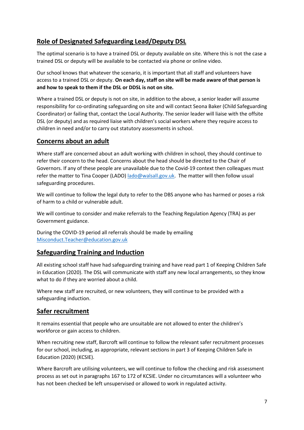# **Role of Designated Safeguarding Lead/Deputy DSL**

The optimal scenario is to have a trained DSL or deputy available on site. Where this is not the case a trained DSL or deputy will be available to be contacted via phone or online video.

Our school knows that whatever the scenario, it is important that all staff and volunteers have access to a trained DSL or deputy. **On each day, staff on site will be made aware of that person is and how to speak to them if the DSL or DDSL is not on site.**

Where a trained DSL or deputy is not on site, in addition to the above, a senior leader will assume responsibility for co-ordinating safeguarding on site and will contact Seona Baker (Child Safeguarding Coordinator) or failing that, contact the Local Authority. The senior leader will liaise with the offsite DSL (or deputy) and as required liaise with children's social workers where they require access to children in need and/or to carry out statutory assessments in school.

# **Concerns about an adult**

Where staff are concerned about an adult working with children in school, they should continue to refer their concern to the head. Concerns about the head should be directed to the Chair of Governors. If any of these people are unavailable due to the Covid-19 context then colleagues must refer the matter to Tina Cooper (LADO) [lado@walsall.gov.uk.](mailto:lado@walsall.gov.uk) The matter will then follow usual safeguarding procedures.

We will continue to follow the legal duty to refer to the DBS anyone who has harmed or poses a risk of harm to a child or vulnerable adult.

We will continue to consider and make referrals to the Teaching Regulation Agency (TRA) as per Government guidance.

During the COVID-19 period all referrals should be made by emailing [Misconduct.Teacher@education.gov.uk](mailto:Misconduct.Teacher@education.gov.uk)

#### **Safeguarding Training and Induction**

All existing school staff have had safeguarding training and have read part 1 of Keeping Children Safe in Education (2020). The DSL will communicate with staff any new local arrangements, so they know what to do if they are worried about a child.

Where new staff are recruited, or new volunteers, they will continue to be provided with a safeguarding induction.

#### **Safer recruitment**

It remains essential that people who are unsuitable are not allowed to enter the children's workforce or gain access to children.

When recruiting new staff, Barcroft will continue to follow the relevant safer recruitment processes for our school, including, as appropriate, relevant sections in part 3 of Keeping Children Safe in Education (2020) (KCSIE).

Where Barcroft are utilising volunteers, we will continue to follow the checking and risk assessment process as set out in paragraphs 167 to 172 of KCSIE. Under no circumstances will a volunteer who has not been checked be left unsupervised or allowed to work in regulated activity.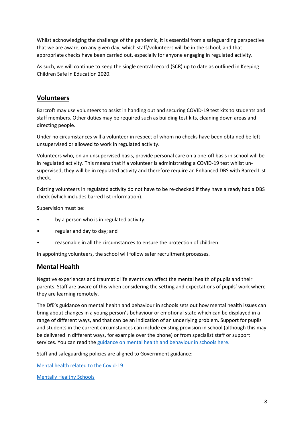Whilst acknowledging the challenge of the pandemic, it is essential from a safeguarding perspective that we are aware, on any given day, which staff/volunteers will be in the school, and that appropriate checks have been carried out, especially for anyone engaging in regulated activity.

As such, we will continue to keep the single central record (SCR) up to date as outlined in Keeping Children Safe in Education 2020.

## **Volunteers**

Barcroft may use volunteers to assist in handing out and securing COVID-19 test kits to students and staff members. Other duties may be required such as building test kits, cleaning down areas and directing people.

Under no circumstances will a volunteer in respect of whom no checks have been obtained be left unsupervised or allowed to work in regulated activity.

Volunteers who, on an unsupervised basis, provide personal care on a one-off basis in school will be in regulated activity. This means that if a volunteer is administrating a COVID-19 test whilst unsupervised, they will be in regulated activity and therefore require an Enhanced DBS with Barred List check.

Existing volunteers in regulated activity do not have to be re-checked if they have already had a DBS check (which includes barred list information).

Supervision must be:

- by a person who is in regulated activity.
- regular and day to day; and
- reasonable in all the circumstances to ensure the protection of children.

In appointing volunteers, the school will follow safer recruitment processes.

#### **Mental Health**

Negative experiences and traumatic life events can affect the mental health of pupils and their parents. Staff are aware of this when considering the setting and expectations of pupils' work where they are learning remotely.

The DfE's guidance on mental health and behaviour in schools sets out how mental health issues can bring about changes in a young person's behaviour or emotional state which can be displayed in a range of different ways, and that can be an indication of an underlying problem. Support for pupils and students in the current circumstances can include existing provision in school (although this may be delivered in different ways, for example over the phone) or from specialist staff or support services. You can read th[e guidance on mental health and behaviour in schools here.](https://www.gov.uk/government/publications/mental-health-and-behaviour-in-schools--2)

Staff and safeguarding policies are aligned to Government guidance:-

[Mental health related to the Covid-19](https://www.gov.uk/government/publications/covid-19-guidance-for-the-public-on-mental-health-and-wellbeing/guidance-for-the-public-on-the-mental-health-and-wellbeing-aspects-of-coronavirus-covid-19) 

[Mentally Healthy Schools](https://www.mentallyhealthyschools.org.uk/media/1960/coronavirus-mental-health-and-wellbeing-resources.pdf?utm_source=newsletter&utm_medium=email&utm_campaign=coronavirus&utm_content=toolkit)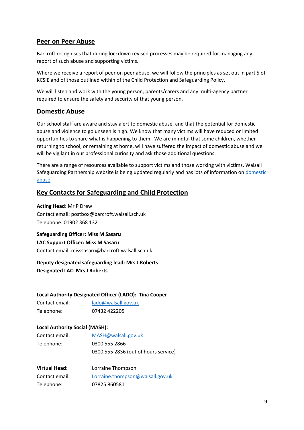## **Peer on Peer Abuse**

Barcroft recognises that during lockdown revised processes may be required for managing any report of such abuse and supporting victims.

Where we receive a report of peer on peer abuse, we will follow the principles as set out in part 5 of KCSIE and of those outlined within of the Child Protection and Safeguarding Policy.

We will listen and work with the young person, parents/carers and any multi-agency partner required to ensure the safety and security of that young person.

#### **Domestic Abuse**

Our school staff are aware and stay alert to domestic abuse, and that the potential for domestic abuse and violence to go unseen is high. We know that many victims will have reduced or limited opportunities to share what is happening to them. We are mindful that some children, whether returning to school, or remaining at home, will have suffered the impact of domestic abuse and we will be vigilant in our professional curiosity and ask those additional questions.

There are a range of resources available to support victims and those working with victims, Walsall Safeguarding Partnership website is being updated regularly and has lots of information o[n domestic](https://go.walsall.gov.uk/walsall-safeguarding-partnership/COVID-19#10884268-domestic-abuse-support)  [abuse](https://go.walsall.gov.uk/walsall-safeguarding-partnership/COVID-19#10884268-domestic-abuse-support) 

## **Key Contacts for Safeguarding and Child Protection**

**Acting Head**: Mr P Drew Contact email: postbox@barcroft.walsall.sch.uk Telephone: 01902 368 132

**Safeguarding Officer: Miss M Sasaru LAC Support Officer: Miss M Sasaru** Contact email: misssasaru@barcroft.walsall.sch.uk

#### **Deputy designated safeguarding lead: Mrs J Roberts Designated LAC: Mrs J Roberts**

#### **Local Authority Designated Officer (LADO): Tina Cooper**

| Contact email: | lado@walsall.gov.uk |
|----------------|---------------------|
| Telephone:     | 07432 422205        |

#### **Local Authority Social (MASH):**

| Contact email: | MASH@walsall.gov.uk                  |
|----------------|--------------------------------------|
| Telephone:     | 0300 555 2866                        |
|                | 0300 555 2836 (out of hours service) |

| <b>Virtual Head:</b> | Lorraine Thompson                |
|----------------------|----------------------------------|
| Contact email:       | Lorraine.thompson@walsall.gov.uk |
| Telephone:           | 07825 860581                     |